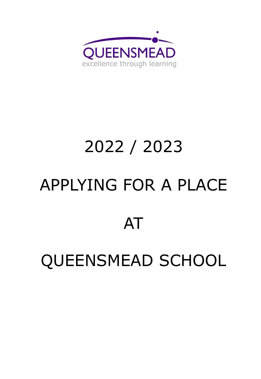

# 2022 / 2023 APPLYING FOR A PLACE AT

QUEENSMEAD SCHOOL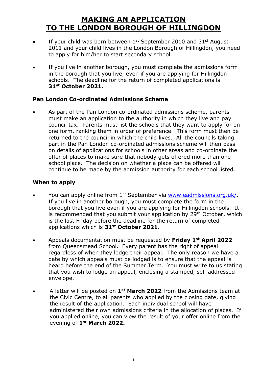## **MAKING AN APPLICATION TO THE LONDON BOROUGH OF HILLINGDON**

- $\bullet$  If your child was born between 1<sup>st</sup> September 2010 and 31st August 2011 and your child lives in the London Borough of Hillingdon, you need to apply for him/her to start secondary school.
- If you live in another borough, you must complete the admissions form in the borough that you live, even if you are applying for Hillingdon schools. The deadline for the return of completed applications is **31st October 2021.**

#### **Pan London Co-ordinated Admissions Scheme**

 As part of the Pan London co-ordinated admissions scheme, parents must make an application to the authority in which they live and pay council tax. Parents must list the schools that they want to apply for on one form, ranking them in order of preference. This form must then be returned to the council in which the child lives. All the councils taking part in the Pan London co-ordinated admissions scheme will then pass on details of applications for schools in other areas and co-ordinate the offer of places to make sure that nobody gets offered more than one school place. The decision on whether a place can be offered will continue to be made by the admission authority for each school listed.

#### **When to apply**

- You can apply online from 1<sup>st</sup> September via [www.eadmissions.org.uk/.](http://www.eadmissions.org.uk/) If you live in another borough, you must complete the form in the borough that you live even if you are applying for Hillingdon schools. It is recommended that you submit your application by 29<sup>th</sup> October, which is the last Friday before the deadline for the return of completed applications which is **31st October 2021**.
- Appeals documentation must be requested by **Friday 1st April 2022** from Queensmead School. Every parent has the right of appeal regardless of when they lodge their appeal. The only reason we have a date by which appeals must be lodged is to ensure that the appeal is heard before the end of the Summer Term. You must write to us stating that you wish to lodge an appeal, enclosing a stamped, self addressed envelope.
- A letter will be posted on **1st March 2022** from the Admissions team at the Civic Centre, to all parents who applied by the closing date, giving the result of the application. Each individual school will have administered their own admissions criteria in the allocation of places. If you applied online, you can view the result of your offer online from the evening of **1st March 2022.**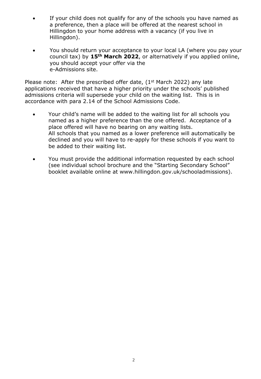- If your child does not qualify for any of the schools you have named as a preference, then a place will be offered at the nearest school in Hillingdon to your home address with a vacancy (if you live in Hillingdon).
- You should return your acceptance to your local LA (where you pay your council tax) by **15th March 2022**, or alternatively if you applied online, you should accept your offer via the e-Admissions site.

Please note: After the prescribed offer date,  $(1<sup>st</sup> March 2022)$  any late applications received that have a higher priority under the schools' published admissions criteria will supersede your child on the waiting list. This is in accordance with para 2.14 of the School Admissions Code.

- Your child's name will be added to the waiting list for all schools you named as a higher preference than the one offered. Acceptance of a place offered will have no bearing on any waiting lists. All schools that you named as a lower preference will automatically be declined and you will have to re-apply for these schools if you want to be added to their waiting list.
- You must provide the additional information requested by each school (see individual school brochure and the "Starting Secondary School" booklet available online at www.hillingdon.gov.uk/schooladmissions).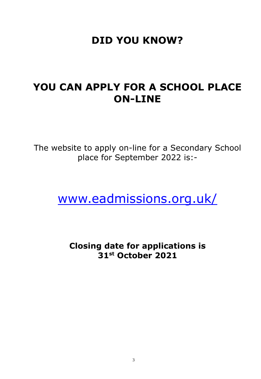# **DID YOU KNOW?**

# **YOU CAN APPLY FOR A SCHOOL PLACE ON-LINE**

The website to apply on-line for a Secondary School place for September 2022 is:-

[www.eadmissions.org.uk/](http://www.eadmissions.org.uk/)

**Closing date for applications is 31st October 2021**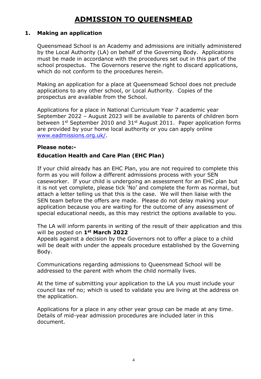# **ADMISSION TO QUEENSMEAD**

#### **1. Making an application**

Queensmead School is an Academy and admissions are initially administered by the Local Authority (LA) on behalf of the Governing Body. Applications must be made in accordance with the procedures set out in this part of the school prospectus. The Governors reserve the right to discard applications, which do not conform to the procedures herein.

Making an application for a place at Queensmead School does not preclude applications to any other school, or Local Authority. Copies of the prospectus are available from the School.

Applications for a place in National Curriculum Year 7 academic year September 2022 – August 2023 will be available to parents of children born between  $1^{st}$  September 2010 and  $31^{st}$  August 2011. Paper application forms are provided by your home local authority or you can apply online [www.eadmissions.org.uk/.](http://www.eadmissions.org.uk/)

#### **Please note:-**

#### **Education Health and Care Plan (EHC Plan)**

If your child already has an EHC Plan, you are not required to complete this form as you will follow a different admissions process with your SEN caseworker. If your child is undergoing an assessment for an EHC plan but it is not yet complete, please tick 'No' and complete the form as normal, but attach a letter telling us that this is the case. We will then liaise with the SEN team before the offers are made. Please do not delay making your application because you are waiting for the outcome of any assessment of special educational needs, as this may restrict the options available to you.

The LA will inform parents in writing of the result of their application and this will be posted on **1st March 2022**

Appeals against a decision by the Governors not to offer a place to a child will be dealt with under the appeals procedure established by the Governing Body.

Communications regarding admissions to Queensmead School will be addressed to the parent with whom the child normally lives.

At the time of submitting your application to the LA you must include your council tax ref no; which is used to validate you are living at the address on the application.

Applications for a place in any other year group can be made at any time. Details of mid-year admission procedures are included later in this document.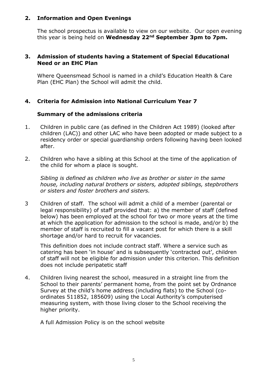#### **2. Information and Open Evenings**

The school prospectus is available to view on our website. Our open evening this year is being held on **Wednesday 22nd September 3pm to 7pm.**

#### **3. Admission of students having a Statement of Special Educational Need or an EHC Plan**

Where Queensmead School is named in a child's Education Health & Care Plan (EHC Plan) the School will admit the child.

#### **4. Criteria for Admission into National Curriculum Year 7**

#### **Summary of the admissions criteria**

- 1. Children in public care (as defined in the Children Act 1989) (looked after children (LAC)) and other LAC who have been adopted or made subject to a residency order or special guardianship orders following having been looked after.
- 2. Children who have a sibling at this School at the time of the application of the child for whom a place is sought.

*Sibling is defined as children who live as brother or sister in the same house, including natural brothers or sisters, adopted siblings, stepbrothers or sisters and foster brothers and sisters.*

3 Children of staff. The school will admit a child of a member (parental or legal responsibility) of staff provided that: a) the member of staff (defined below) has been employed at the school for two or more years at the time at which the application for admission to the school is made, and/or b) the member of staff is recruited to fill a vacant post for which there is a skill shortage and/or hard to recruit for vacancies.

This definition does not include contract staff. Where a service such as catering has been 'in house' and is subsequently 'contracted out', children of staff will not be eligible for admission under this criterion. This definition does not include peripatetic staff

4. Children living nearest the school, measured in a straight line from the School to their parents' permanent home, from the point set by Ordnance Survey at the child's home address (including flats) to the School (coordinates 511852, 185609) using the Local Authority's computerised measuring system, with those living closer to the School receiving the higher priority.

A full Admission Policy is on the school website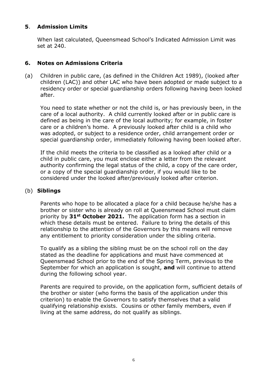#### **5**. **Admission Limits**

When last calculated, Queensmead School's Indicated Admission Limit was set at 240.

#### **6. Notes on Admissions Criteria**

(a) Children in public care, (as defined in the Children Act 1989), (looked after children (LAC)) and other LAC who have been adopted or made subject to a residency order or special guardianship orders following having been looked after.

You need to state whether or not the child is, or has previously been, in the care of a local authority. A child currently looked after or in public care is defined as being in the care of the local authority; for example, in foster care or a children's home. A previously looked after child is a child who was adopted, or subject to a residence order, child arrangement order or special guardianship order, immediately following having been looked after.

If the child meets the criteria to be classified as a looked after child or a child in public care, you must enclose either a letter from the relevant authority confirming the legal status of the child, a copy of the care order, or a copy of the special guardianship order, if you would like to be considered under the looked after/previously looked after criterion.

#### (b) **Siblings**

Parents who hope to be allocated a place for a child because he/she has a brother or sister who is already on roll at Queensmead School must claim priority by **31st October 2021.** The application form has a section in which these details must be entered. Failure to bring the details of this relationship to the attention of the Governors by this means will remove any entitlement to priority consideration under the sibling criteria.

To qualify as a sibling the sibling must be on the school roll on the day stated as the deadline for applications and must have commenced at Queensmead School prior to the end of the Spring Term, previous to the September for which an application is sought, **and** will continue to attend during the following school year.

Parents are required to provide, on the application form, sufficient details of the brother or sister (who forms the basis of the application under this criterion) to enable the Governors to satisfy themselves that a valid qualifying relationship exists. Cousins or other family members, even if living at the same address, do not qualify as siblings.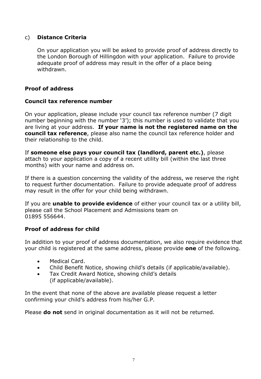#### c) **Distance Criteria**

On your application you will be asked to provide proof of address directly to the London Borough of Hillingdon with your application. Failure to provide adequate proof of address may result in the offer of a place being withdrawn.

#### **Proof of address**

#### **Council tax reference number**

On your application, please include your council tax reference number (7 digit number beginning with the number '3'); this number is used to validate that you are living at your address. **If your name is not the registered name on the council tax reference**, please also name the council tax reference holder and their relationship to the child.

If **someone else pays your council tax (landlord, parent etc.)**, please attach to your application a copy of a recent utility bill (within the last three months) with your name and address on.

If there is a question concerning the validity of the address, we reserve the right to request further documentation. Failure to provide adequate proof of address may result in the offer for your child being withdrawn.

If you are **unable to provide evidence** of either your council tax or a utility bill, please call the School Placement and Admissions team on 01895 556644.

#### **Proof of address for child**

In addition to your proof of address documentation, we also require evidence that your child is registered at the same address, please provide **one** of the following.

- Medical Card.
- Child Benefit Notice, showing child's details (if applicable/available).
- Tax Credit Award Notice, showing child's details (if applicable/available).

In the event that none of the above are available please request a letter confirming your child's address from his/her G.P.

Please **do not** send in original documentation as it will not be returned.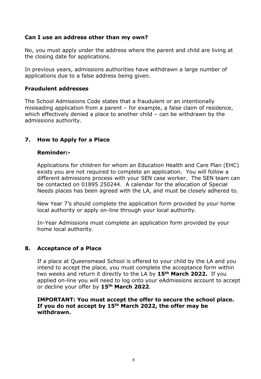#### **Can I use an address other than my own?**

No, you must apply under the address where the parent and child are living at the closing date for applications.

In previous years, admissions authorities have withdrawn a large number of applications due to a false address being given.

#### **Fraudulent addresses**

The School Admissions Code states that a fraudulent or an intentionally misleading application from a parent – for example, a false claim of residence, which effectively denied a place to another child – can be withdrawn by the admissions authority.

#### **7. How to Apply for a Place**

#### **Reminder:-**

Applications for children for whom an Education Health and Care Plan (EHC) exists you are not required to complete an application. You will follow a different admissions process with your SEN case worker. The SEN team can be contacted on 01895 250244. A calendar for the allocation of Special Needs places has been agreed with the LA, and must be closely adhered to.

New Year 7's should complete the application form provided by your home local authority or apply on-line through your local authority.

In-Year Admissions must complete an application form provided by your home local authority.

#### **8. Acceptance of a Place**

If a place at Queensmead School is offered to your child by the LA and you intend to accept the place, you must complete the acceptance form within two weeks and return it directly to the LA by **15th March 2022.** If you applied on-line you will need to log onto your eAdmissions account to accept or decline your offer by **15th March 2022**.

#### **IMPORTANT: You must accept the offer to secure the school place. If you do not accept by 15th March 2022, the offer may be withdrawn.**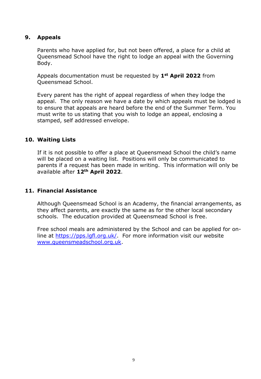#### **9. Appeals**

Parents who have applied for, but not been offered, a place for a child at Queensmead School have the right to lodge an appeal with the Governing Body.

Appeals documentation must be requested by **1st April 2022** from Queensmead School.

Every parent has the right of appeal regardless of when they lodge the appeal. The only reason we have a date by which appeals must be lodged is to ensure that appeals are heard before the end of the Summer Term. You must write to us stating that you wish to lodge an appeal, enclosing a stamped, self addressed envelope.

#### **10. Waiting Lists**

If it is not possible to offer a place at Queensmead School the child's name will be placed on a waiting list. Positions will only be communicated to parents if a request has been made in writing. This information will only be available after **12th April 2022**.

#### **11. Financial Assistance**

Although Queensmead School is an Academy, the financial arrangements, as they affect parents, are exactly the same as for the other local secondary schools. The education provided at Queensmead School is free.

Free school meals are administered by the School and can be applied for online at [https://pps.lgfl.org.uk/.](https://pps.lgfl.org.uk/) For more information visit our website [www.queensmeadschool.org.uk.](http://www.queensmeadschool.org.uk/)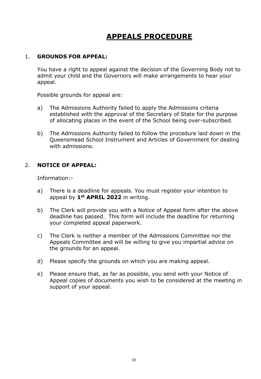# **APPEALS PROCEDURE**

#### 1. **GROUNDS FOR APPEAL:**

You have a right to appeal against the decision of the Governing Body not to admit your child and the Governors will make arrangements to hear your appeal.

Possible grounds for appeal are:

- a) The Admissions Authority failed to apply the Admissions criteria established with the approval of the Secretary of State for the purpose of allocating places in the event of the School being over-subscribed.
- b) The Admissions Authority failed to follow the procedure laid down in the Queensmead School Instrument and Articles of Government for dealing with admissions.

#### 2. **NOTICE OF APPEAL:**

Information:-

- a) There is a deadline for appeals. You must register your intention to appeal by **1st APRIL 2022** in writing.
- b) The Clerk will provide you with a Notice of Appeal form after the above deadline has passed. This form will include the deadline for returning your completed appeal paperwork.
- c) The Clerk is neither a member of the Admissions Committee nor the Appeals Committee and will be willing to give you impartial advice on the grounds for an appeal.
- d) Please specify the grounds on which you are making appeal.
- e) Please ensure that, as far as possible, you send with your Notice of Appeal copies of documents you wish to be considered at the meeting in support of your appeal.